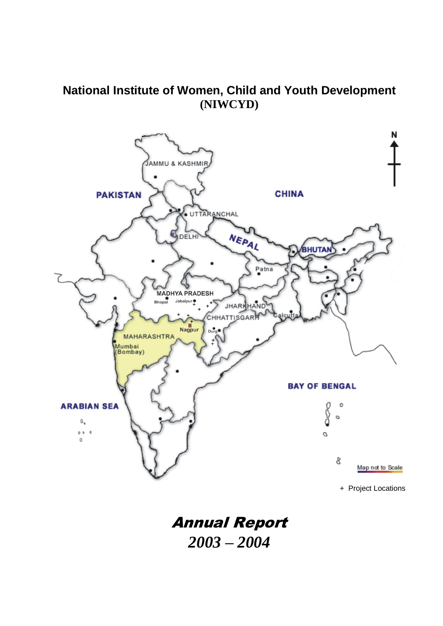# **National Institute of Women, Child and Youth Development (NIWCYD)**



Annual Report *2003 – 2004*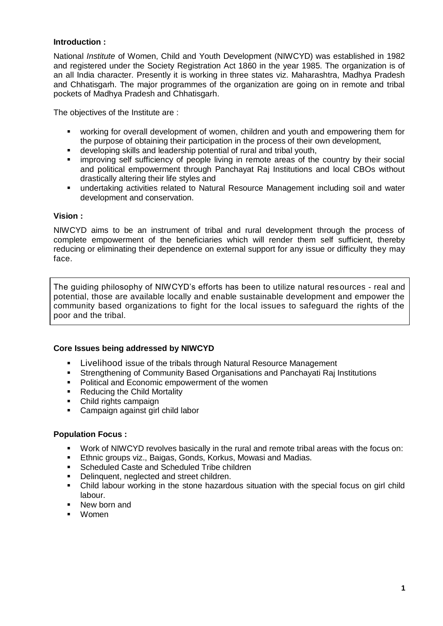#### **Introduction :**

National *Institute* of Women, Child and Youth Development (NIWCYD) was established in 1982 and registered under the Society Registration Act 1860 in the year 1985. The organization is of an all India character. Presently it is working in three states viz. Maharashtra, Madhya Pradesh and Chhatisgarh. The major programmes of the organization are going on in remote and tribal pockets of Madhya Pradesh and Chhatisgarh.

The objectives of the Institute are :

- working for overall development of women, children and youth and empowering them for the purpose of obtaining their participation in the process of their own development,
- developing skills and leadership potential of rural and tribal youth,
- **EXED** improving self sufficiency of people living in remote areas of the country by their social and political empowerment through Panchayat Raj Institutions and local CBOs without drastically altering their life styles and
- undertaking activities related to Natural Resource Management including soil and water development and conservation.

#### **Vision :**

NIWCYD aims to be an instrument of tribal and rural development through the process of complete empowerment of the beneficiaries which will render them self sufficient, thereby reducing or eliminating their dependence on external support for any issue or difficulty they may face.

The guiding philosophy of NIWCYD's efforts has been to utilize natural resources - real and potential, those are available locally and enable sustainable development and empower the community based organizations to fight for the local issues to safeguard the rights of the poor and the tribal.

#### **Core Issues being addressed by NIWCYD**

- **Livelihood issue of the tribals through Natural Resource Management**<br>**Extremathening of Community Based Organisations and Panchavati Rai**l
- Strengthening of Community Based Organisations and Panchayati Raj Institutions
- **Political and Economic empowerment of the women**
- Reducing the Child Mortality
- Child rights campaign
- **Campaign against girl child labor**

#### **Population Focus :**

- Work of NIWCYD revolves basically in the rural and remote tribal areas with the focus on:
- **Ethnic groups viz., Baigas, Gonds, Korkus, Mowasi and Madias.**
- **Scheduled Caste and Scheduled Tribe children**
- Delinquent, neglected and street children.
- Child labour working in the stone hazardous situation with the special focus on girl child labour.
- New born and
- Women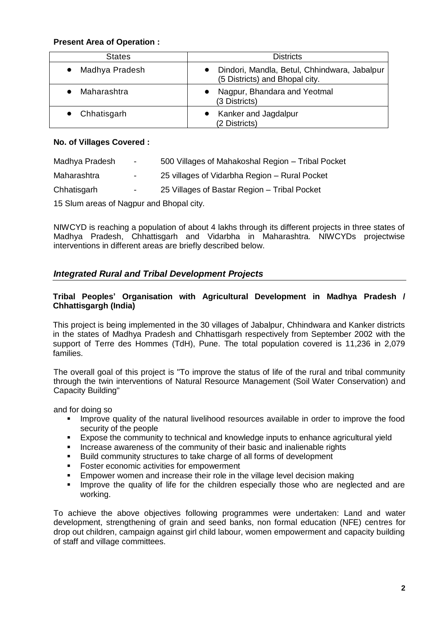## **Present Area of Operation :**

| <b>States</b>  | <b>Districts</b>                                                               |  |  |  |  |  |
|----------------|--------------------------------------------------------------------------------|--|--|--|--|--|
| Madhya Pradesh | Dindori, Mandla, Betul, Chhindwara, Jabalpur<br>(5 Districts) and Bhopal city. |  |  |  |  |  |
| Maharashtra    | Nagpur, Bhandara and Yeotmal<br>(3 Districts)                                  |  |  |  |  |  |
| Chhatisgarh    | Kanker and Jagdalpur<br>(2 Districts)                                          |  |  |  |  |  |

## **No. of Villages Covered :**

| Madhya Pradesh                           | $\sim 100$       | 500 Villages of Mahakoshal Region - Tribal Pocket |  |  |  |  |  |
|------------------------------------------|------------------|---------------------------------------------------|--|--|--|--|--|
| Maharashtra                              | -                | 25 villages of Vidarbha Region – Rural Pocket     |  |  |  |  |  |
| Chhatisgarh                              | $\sim$ 100 $\mu$ | 25 Villages of Bastar Region - Tribal Pocket      |  |  |  |  |  |
| 15 Slum areas of Nagpur and Bhopal city. |                  |                                                   |  |  |  |  |  |

NIWCYD is reaching a population of about 4 lakhs through its different projects in three states of Madhya Pradesh, Chhattisgarh and Vidarbha in Maharashtra. NIWCYDs projectwise interventions in different areas are briefly described below.

# *Integrated Rural and Tribal Development Projects*

## **Tribal Peoples' Organisation with Agricultural Development in Madhya Pradesh / Chhattisgargh (India)**

This project is being implemented in the 30 villages of Jabalpur, Chhindwara and Kanker districts in the states of Madhya Pradesh and Chhattisgarh respectively from September 2002 with the support of Terre des Hommes (TdH), Pune. The total population covered is 11,236 in 2,079 families.

The overall goal of this project is "To improve the status of life of the rural and tribal community through the twin interventions of Natural Resource Management (Soil Water Conservation) and Capacity Building"

and for doing so

- **IMPROVE** 11 Improve quality of the natural livelihood resources available in order to improve the food security of the people
- Expose the community to technical and knowledge inputs to enhance agricultural yield
- Increase awareness of the community of their basic and inalienable rights
- Build community structures to take charge of all forms of development
- **Foster economic activities for empowerment**
- Empower women and increase their role in the village level decision making
- **IMPROVE the quality of life for the children especially those who are neglected and are** working.

To achieve the above objectives following programmes were undertaken: Land and water development, strengthening of grain and seed banks, non formal education (NFE) centres for drop out children, campaign against girl child labour, women empowerment and capacity building of staff and village committees.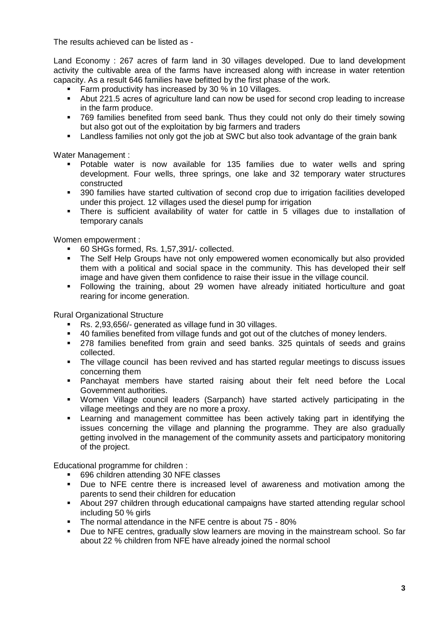The results achieved can be listed as -

Land Economy : 267 acres of farm land in 30 villages developed. Due to land development activity the cultivable area of the farms have increased along with increase in water retention capacity. As a result 646 families have befitted by the first phase of the work.

- **Farm productivity has increased by 30 % in 10 Villages.**
- Abut 221.5 acres of agriculture land can now be used for second crop leading to increase in the farm produce.
- 769 families benefited from seed bank. Thus they could not only do their timely sowing but also got out of the exploitation by big farmers and traders
- **EXECT** Landless families not only got the job at SWC but also took advantage of the grain bank

Water Management :

- Potable water is now available for 135 families due to water wells and spring development. Four wells, three springs, one lake and 32 temporary water structures constructed
- 390 families have started cultivation of second crop due to irrigation facilities developed under this project. 12 villages used the diesel pump for irrigation
- There is sufficient availability of water for cattle in 5 villages due to installation of temporary canals

Women empowerment :

- 60 SHGs formed, Rs. 1,57,391/- collected.
- The Self Help Groups have not only empowered women economically but also provided them with a political and social space in the community. This has developed their self image and have given them confidence to raise their issue in the village council.
- Following the training, about 29 women have already initiated horticulture and goat rearing for income generation.

Rural Organizational Structure

- Rs. 2,93,656/- generated as village fund in 30 villages.
- 40 families benefited from village funds and got out of the clutches of money lenders.
- 278 families benefited from grain and seed banks. 325 quintals of seeds and grains collected.
- The village council has been revived and has started regular meetings to discuss issues concerning them
- Panchayat members have started raising about their felt need before the Local Government authorities.
- Women Village council leaders (Sarpanch) have started actively participating in the village meetings and they are no more a proxy.
- Learning and management committee has been actively taking part in identifying the issues concerning the village and planning the programme. They are also gradually getting involved in the management of the community assets and participatory monitoring of the project.

Educational programme for children :

- 696 children attending 30 NFE classes
- Due to NFE centre there is increased level of awareness and motivation among the parents to send their children for education
- About 297 children through educational campaigns have started attending regular school including 50 % girls
- The normal attendance in the NFE centre is about 75 80%
- Due to NFE centres, gradually slow learners are moving in the mainstream school. So far about 22 % children from NFE have already joined the normal school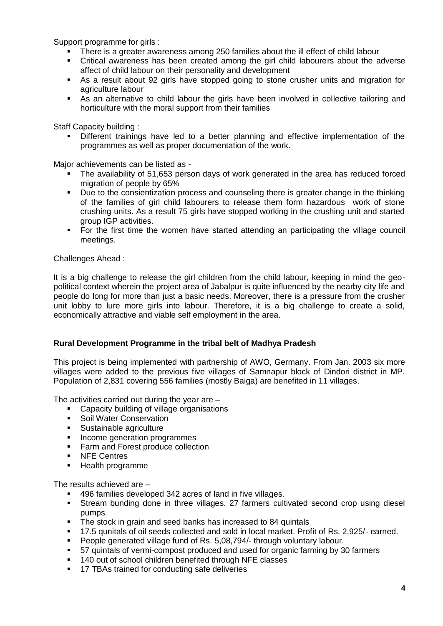Support programme for girls :

- There is a greater awareness among 250 families about the ill effect of child labour
- Critical awareness has been created among the girl child labourers about the adverse affect of child labour on their personality and development
- As a result about 92 girls have stopped going to stone crusher units and migration for agriculture labour
- As an alternative to child labour the girls have been involved in collective tailoring and horticulture with the moral support from their families

Staff Capacity building :

 Different trainings have led to a better planning and effective implementation of the programmes as well as proper documentation of the work.

Major achievements can be listed as -

- The availability of 51,653 person days of work generated in the area has reduced forced migration of people by 65%
- Due to the consientization process and counseling there is greater change in the thinking of the families of girl child labourers to release them form hazardous work of stone crushing units. As a result 75 girls have stopped working in the crushing unit and started group IGP activities.
- For the first time the women have started attending an participating the village council meetings.

Challenges Ahead :

It is a big challenge to release the girl children from the child labour, keeping in mind the geopolitical context wherein the project area of Jabalpur is quite influenced by the nearby city life and people do long for more than just a basic needs. Moreover, there is a pressure from the crusher unit lobby to lure more girls into labour. Therefore, it is a big challenge to create a solid, economically attractive and viable self employment in the area.

#### **Rural Development Programme in the tribal belt of Madhya Pradesh**

This project is being implemented with partnership of AWO, Germany. From Jan. 2003 six more villages were added to the previous five villages of Samnapur block of Dindori district in MP. Population of 2,831 covering 556 families (mostly Baiga) are benefited in 11 villages.

The activities carried out during the year are –

- Capacity building of village organisations
- **Soil Water Conservation**
- Sustainable agriculture
- **Income generation programmes**
- **Farm and Forest produce collection**
- **NFE Centres**
- **Health programme**

The results achieved are –

- 496 families developed 342 acres of land in five villages.
- Stream bunding done in three villages. 27 farmers cultivated second crop using diesel pumps.
- The stock in grain and seed banks has increased to 84 quintals
- 17.5 qunitals of oil seeds collected and sold in local market. Profit of Rs. 2,925/- earned.
- People generated village fund of Rs. 5,08,794/- through voluntary labour.
- 57 quintals of vermi-compost produced and used for organic farming by 30 farmers
- 140 out of school children benefited through NFE classes
- **17 TBAs trained for conducting safe deliveries**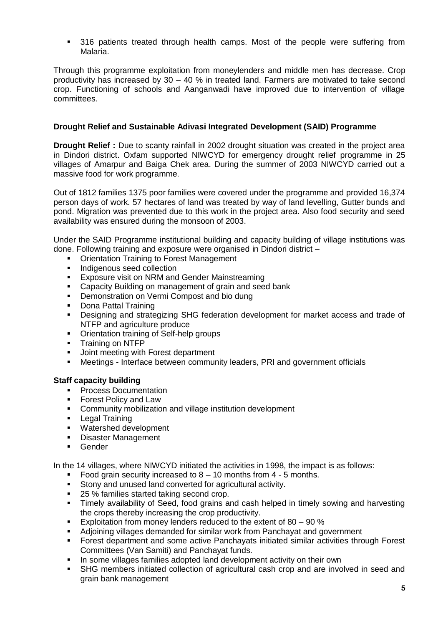**316 patients treated through health camps. Most of the people were suffering from** Malaria.

Through this programme exploitation from moneylenders and middle men has decrease. Crop productivity has increased by 30 – 40 % in treated land. Farmers are motivated to take second crop. Functioning of schools and Aanganwadi have improved due to intervention of village committees.

## **Drought Relief and Sustainable Adivasi Integrated Development (SAID) Programme**

**Drought Relief :** Due to scanty rainfall in 2002 drought situation was created in the project area in Dindori district. Oxfam supported NIWCYD for emergency drought relief programme in 25 villages of Amarpur and Baiga Chek area. During the summer of 2003 NIWCYD carried out a massive food for work programme.

Out of 1812 families 1375 poor families were covered under the programme and provided 16,374 person days of work. 57 hectares of land was treated by way of land levelling, Gutter bunds and pond. Migration was prevented due to this work in the project area. Also food security and seed availability was ensured during the monsoon of 2003.

Under the SAID Programme institutional building and capacity building of village institutions was done. Following training and exposure were organised in Dindori district –

- **Orientation Training to Forest Management**
- **Indigenous seed collection**
- **EXPOSURE VISIT ON NRM and Gender Mainstreaming**
- **EXEC** Capacity Building on management of grain and seed bank
- Demonstration on Vermi Compost and bio dung<br>■ Dona Pattal Training
- Dona Pattal Training
- Designing and strategizing SHG federation development for market access and trade of NTFP and agriculture produce
- Orientation training of Self-help groups
- **Training on NTFP**
- **Joint meeting with Forest department**
- Meetings Interface between community leaders, PRI and government officials

#### **Staff capacity building**

- **Process Documentation**
- **Forest Policy and Law**
- **EXECOMMUNITY MOBILIZATION AND VILLAGE INSTITUTION COMMUNITY** Community mobilization and village institution development
- **-** Legal Training
- Watershed development
- **Disaster Management**
- **Gender**

In the 14 villages, where NIWCYD initiated the activities in 1998, the impact is as follows:

- Food grain security increased to  $8 10$  months from  $4 5$  months.
- Stony and unused land converted for agricultural activity.
- 25 % families started taking second crop.
- Timely availability of Seed, food grains and cash helped in timely sowing and harvesting the crops thereby increasing the crop productivity.
- Exploitation from money lenders reduced to the extent of  $80 90$  %
- Adjoining villages demanded for similar work from Panchayat and government
- Forest department and some active Panchayats initiated similar activities through Forest Committees (Van Samiti) and Panchayat funds.
- In some villages families adopted land development activity on their own
- SHG members initiated collection of agricultural cash crop and are involved in seed and grain bank management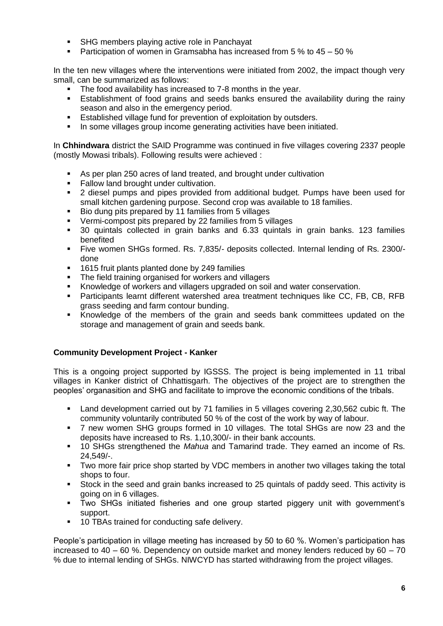- SHG members playing active role in Panchayat
- **Participation of women in Gramsabha has increased from 5 % to 45 50 %**

In the ten new villages where the interventions were initiated from 2002, the impact though very small, can be summarized as follows:

- The food availability has increased to 7-8 months in the year.
- Establishment of food grains and seeds banks ensured the availability during the rainy season and also in the emergency period.
- **Established village fund for prevention of exploitation by outsders.**
- In some villages group income generating activities have been initiated.

In **Chhindwara** district the SAID Programme was continued in five villages covering 2337 people (mostly Mowasi tribals). Following results were achieved :

- As per plan 250 acres of land treated, and brought under cultivation
- Fallow land brought under cultivation.<br>• 2 diesel pumps and pipes provided f
- 2 diesel pumps and pipes provided from additional budget. Pumps have been used for small kitchen gardening purpose. Second crop was available to 18 families.
- Bio dung pits prepared by 11 families from 5 villages
- Vermi-compost pits prepared by 22 families from 5 villages
- 30 quintals collected in grain banks and 6.33 quintals in grain banks. 123 families benefited
- Five women SHGs formed. Rs. 7,835/- deposits collected. Internal lending of Rs. 2300/ done
- **1615 fruit plants planted done by 249 families**
- The field training organised for workers and villagers
- Knowledge of workers and villagers upgraded on soil and water conservation.
- Participants learnt different watershed area treatment techniques like CC, FB, CB, RFB grass seeding and farm contour bunding.
- Knowledge of the members of the grain and seeds bank committees updated on the storage and management of grain and seeds bank.

#### **Community Development Project - Kanker**

This is a ongoing project supported by IGSSS. The project is being implemented in 11 tribal villages in Kanker district of Chhattisgarh. The objectives of the project are to strengthen the peoples' organasition and SHG and facilitate to improve the economic conditions of the tribals.

- Land development carried out by 71 families in 5 villages covering 2,30,562 cubic ft. The community voluntarily contributed 50 % of the cost of the work by way of labour.
- 7 new women SHG groups formed in 10 villages. The total SHGs are now 23 and the deposits have increased to Rs. 1,10,300/- in their bank accounts.
- 10 SHGs strengthened the *Mahua* and Tamarind trade. They earned an income of Rs. 24,549/-.
- Two more fair price shop started by VDC members in another two villages taking the total shops to four.
- Stock in the seed and grain banks increased to 25 quintals of paddy seed. This activity is going on in 6 villages.
- Two SHGs initiated fisheries and one group started piggery unit with government's support.
- **10 TBAs trained for conducting safe delivery.**

People's participation in village meeting has increased by 50 to 60 %. Women's participation has increased to 40 – 60 %. Dependency on outside market and money lenders reduced by 60 – 70 % due to internal lending of SHGs. NIWCYD has started withdrawing from the project villages.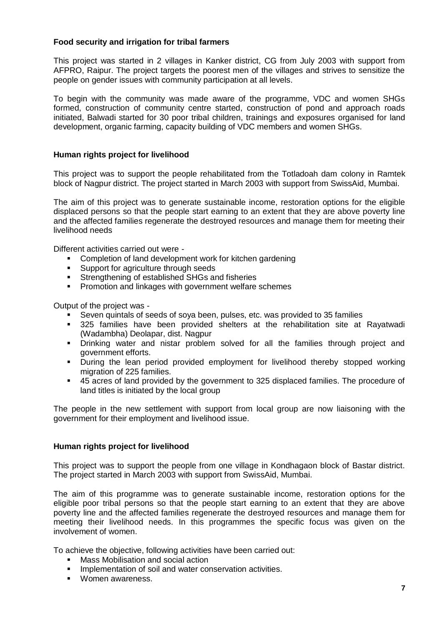## **Food security and irrigation for tribal farmers**

This project was started in 2 villages in Kanker district, CG from July 2003 with support from AFPRO, Raipur. The project targets the poorest men of the villages and strives to sensitize the people on gender issues with community participation at all levels.

To begin with the community was made aware of the programme, VDC and women SHGs formed, construction of community centre started, construction of pond and approach roads initiated, Balwadi started for 30 poor tribal children, trainings and exposures organised for land development, organic farming, capacity building of VDC members and women SHGs.

#### **Human rights project for livelihood**

This project was to support the people rehabilitated from the Totladoah dam colony in Ramtek block of Nagpur district. The project started in March 2003 with support from SwissAid, Mumbai.

The aim of this project was to generate sustainable income, restoration options for the eligible displaced persons so that the people start earning to an extent that they are above poverty line and the affected families regenerate the destroyed resources and manage them for meeting their livelihood needs

Different activities carried out were -

- Completion of land development work for kitchen gardening
- **Support for agriculture through seeds**
- **Strengthening of established SHGs and fisheries**
- **Promotion and linkages with government welfare schemes**

Output of the project was -

- Seven quintals of seeds of soya been, pulses, etc. was provided to 35 families
- 325 families have been provided shelters at the rehabilitation site at Rayatwadi (Wadambha) Deolapar, dist. Nagpur
- Drinking water and nistar problem solved for all the families through project and government efforts.
- **•** During the lean period provided employment for livelihood thereby stopped working migration of 225 families.
- 45 acres of land provided by the government to 325 displaced families. The procedure of land titles is initiated by the local group

The people in the new settlement with support from local group are now liaisoning with the government for their employment and livelihood issue.

#### **Human rights project for livelihood**

This project was to support the people from one village in Kondhagaon block of Bastar district. The project started in March 2003 with support from SwissAid, Mumbai.

The aim of this programme was to generate sustainable income, restoration options for the eligible poor tribal persons so that the people start earning to an extent that they are above poverty line and the affected families regenerate the destroyed resources and manage them for meeting their livelihood needs. In this programmes the specific focus was given on the involvement of women.

To achieve the objective, following activities have been carried out:

- **Mass Mobilisation and social action**
- **Implementation of soil and water conservation activities.**
- **Women awareness.**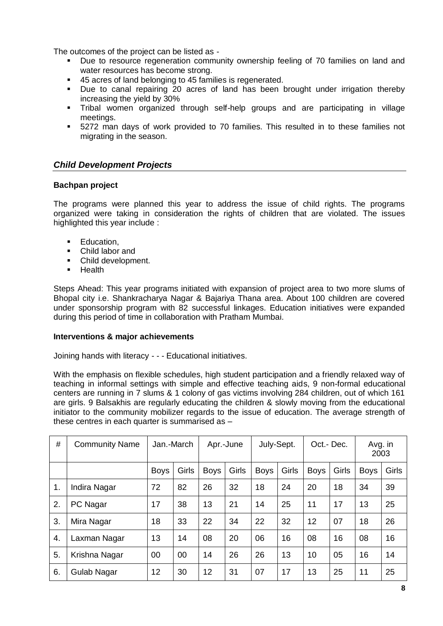The outcomes of the project can be listed as -

- **Due to resource regeneration community ownership feeling of 70 families on land and** water resources has become strong.
- 45 acres of land belonging to 45 families is regenerated.
- Due to canal repairing 20 acres of land has been brought under irrigation thereby increasing the yield by 30%
- Tribal women organized through self-help groups and are participating in village meetings.
- 5272 man days of work provided to 70 families. This resulted in to these families not migrating in the season.

# *Child Development Projects*

#### **Bachpan project**

The programs were planned this year to address the issue of child rights. The programs organized were taking in consideration the rights of children that are violated. The issues highlighted this year include :

- **Education.**
- Child labor and
- Child development.
- **Health**

Steps Ahead: This year programs initiated with expansion of project area to two more slums of Bhopal city i.e. Shankracharya Nagar & Bajariya Thana area. About 100 children are covered under sponsorship program with 82 successful linkages. Education initiatives were expanded during this period of time in collaboration with Pratham Mumbai.

#### **Interventions & major achievements**

Joining hands with literacy - - - Educational initiatives.

With the emphasis on flexible schedules, high student participation and a friendly relaxed way of teaching in informal settings with simple and effective teaching aids, 9 non-formal educational centers are running in 7 slums & 1 colony of gas victims involving 284 children, out of which 161 are girls. 9 Balsakhis are regularly educating the children & slowly moving from the educational initiator to the community mobilizer regards to the issue of education. The average strength of these centres in each quarter is summarised as –

| #  | <b>Community Name</b> | Jan.-March  |       | Apr.-June   |       | July-Sept.  |       | Oct.-Dec.   |       | Avg. in<br>2003 |       |
|----|-----------------------|-------------|-------|-------------|-------|-------------|-------|-------------|-------|-----------------|-------|
|    |                       | <b>Boys</b> | Girls | <b>Boys</b> | Girls | <b>Boys</b> | Girls | <b>Boys</b> | Girls | <b>Boys</b>     | Girls |
| 1. | Indira Nagar          | 72          | 82    | 26          | 32    | 18          | 24    | 20          | 18    | 34              | 39    |
| 2. | PC Nagar              | 17          | 38    | 13          | 21    | 14          | 25    | 11          | 17    | 13              | 25    |
| 3. | Mira Nagar            | 18          | 33    | 22          | 34    | 22          | 32    | 12          | 07    | 18              | 26    |
| 4. | Laxman Nagar          | 13          | 14    | 08          | 20    | 06          | 16    | 08          | 16    | 08              | 16    |
| 5. | Krishna Nagar         | 00          | 00    | 14          | 26    | 26          | 13    | 10          | 05    | 16              | 14    |
| 6. | Gulab Nagar           | 12          | 30    | 12          | 31    | 07          | 17    | 13          | 25    | 11              | 25    |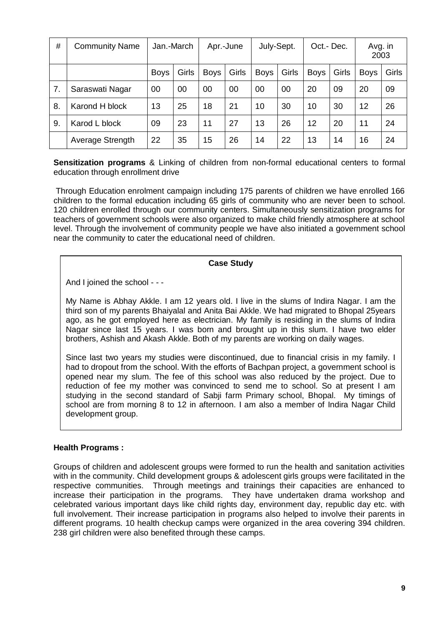| #  | <b>Community Name</b> | Jan.-March  |       | Apr.-June   |       | July-Sept.  |       | Oct.-Dec.   |       | Avg. in<br>2003 |       |
|----|-----------------------|-------------|-------|-------------|-------|-------------|-------|-------------|-------|-----------------|-------|
|    |                       | <b>Boys</b> | Girls | <b>Boys</b> | Girls | <b>Boys</b> | Girls | <b>Boys</b> | Girls | <b>Boys</b>     | Girls |
| 7. | Saraswati Nagar       | 00          | 00    | 00          | 00    | 00          | 00    | 20          | 09    | 20              | 09    |
| 8. | Karond H block        | 13          | 25    | 18          | 21    | 10          | 30    | 10          | 30    | 12              | 26    |
| 9. | Karod L block         | 09          | 23    | 11          | 27    | 13          | 26    | 12          | 20    | 11              | 24    |
|    | Average Strength      | 22          | 35    | 15          | 26    | 14          | 22    | 13          | 14    | 16              | 24    |

**Sensitization programs** & Linking of children from non-formal educational centers to formal education through enrollment drive

Through Education enrolment campaign including 175 parents of children we have enrolled 166 children to the formal education including 65 girls of community who are never been to school. 120 children enrolled through our community centers. Simultaneously sensitization programs for teachers of government schools were also organized to make child friendly atmosphere at school level. Through the involvement of community people we have also initiated a government school near the community to cater the educational need of children.

#### **Case Study**

And I joined the school - - -

My Name is Abhay Akkle. I am 12 years old. I live in the slums of Indira Nagar. I am the third son of my parents Bhaiyalal and Anita Bai Akkle. We had migrated to Bhopal 25years ago, as he got employed here as electrician. My family is residing in the slums of Indira Nagar since last 15 years. I was born and brought up in this slum. I have two elder brothers, Ashish and Akash Akkle. Both of my parents are working on daily wages.

Since last two years my studies were discontinued, due to financial crisis in my family. I had to dropout from the school. With the efforts of Bachpan project, a government school is opened near my slum. The fee of this school was also reduced by the project. Due to reduction of fee my mother was convinced to send me to school. So at present I am studying in the second standard of Sabji farm Primary school, Bhopal. My timings of school are from morning 8 to 12 in afternoon. I am also a member of Indira Nagar Child development group.

#### **Health Programs :**

Groups of children and adolescent groups were formed to run the health and sanitation activities with in the community. Child development groups & adolescent girls groups were facilitated in the respective communities. Through meetings and trainings their capacities are enhanced to increase their participation in the programs. They have undertaken drama workshop and celebrated various important days like child rights day, environment day, republic day etc. with full involvement. Their increase participation in programs also helped to involve their parents in different programs. 10 health checkup camps were organized in the area covering 394 children. 238 girl children were also benefited through these camps.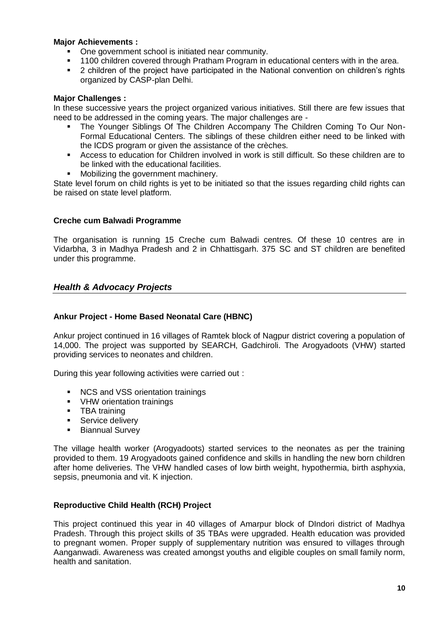### **Major Achievements :**

- One government school is initiated near community.
- 1100 children covered through Pratham Program in educational centers with in the area.<br>■ 2 children of the project have participated in the National convention on children's right
- 2 children of the project have participated in the National convention on children's rights organized by CASP-plan Delhi.

## **Major Challenges :**

In these successive years the project organized various initiatives. Still there are few issues that need to be addressed in the coming years. The major challenges are -

- The Younger Siblings Of The Children Accompany The Children Coming To Our Non-Formal Educational Centers. The siblings of these children either need to be linked with the ICDS program or given the assistance of the crèches.
- Access to education for Children involved in work is still difficult. So these children are to be linked with the educational facilities.
- **Mobilizing the government machinery.**

State level forum on child rights is yet to be initiated so that the issues regarding child rights can be raised on state level platform.

# **Creche cum Balwadi Programme**

The organisation is running 15 Creche cum Balwadi centres. Of these 10 centres are in Vidarbha, 3 in Madhya Pradesh and 2 in Chhattisgarh. 375 SC and ST children are benefited under this programme.

# *Health & Advocacy Projects*

## **Ankur Project - Home Based Neonatal Care (HBNC)**

Ankur project continued in 16 villages of Ramtek block of Nagpur district covering a population of 14,000. The project was supported by SEARCH, Gadchiroli. The Arogyadoots (VHW) started providing services to neonates and children.

During this year following activities were carried out :

- **NCS and VSS orientation trainings**
- **•** VHW orientation trainings
- **TBA** training
- Service delivery<br>Biannual Survey
- Biannual Survey

The village health worker (Arogyadoots) started services to the neonates as per the training provided to them. 19 Arogyadoots gained confidence and skills in handling the new born children after home deliveries. The VHW handled cases of low birth weight, hypothermia, birth asphyxia, sepsis, pneumonia and vit. K injection.

#### **Reproductive Child Health (RCH) Project**

This project continued this year in 40 villages of Amarpur block of DIndori district of Madhya Pradesh. Through this project skills of 35 TBAs were upgraded. Health education was provided to pregnant women. Proper supply of supplementary nutrition was ensured to villages through Aanganwadi. Awareness was created amongst youths and eligible couples on small family norm, health and sanitation.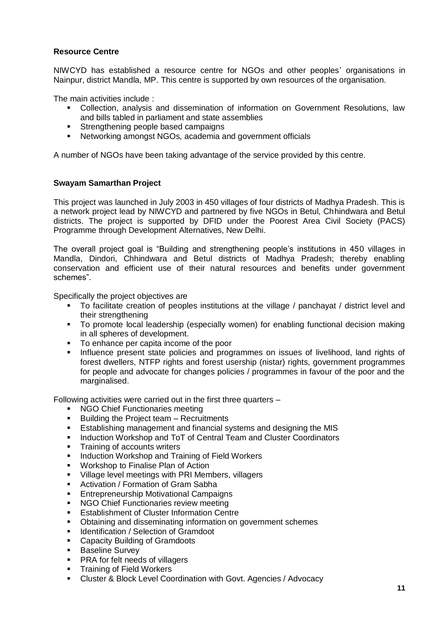## **Resource Centre**

NIWCYD has established a resource centre for NGOs and other peoples' organisations in Nainpur, district Mandla, MP. This centre is supported by own resources of the organisation.

The main activities include :

- Collection, analysis and dissemination of information on Government Resolutions, law and bills tabled in parliament and state assemblies
- **Strengthening people based campaigns**
- Networking amongst NGOs, academia and government officials

A number of NGOs have been taking advantage of the service provided by this centre.

#### **Swayam Samarthan Project**

This project was launched in July 2003 in 450 villages of four districts of Madhya Pradesh. This is a network project lead by NIWCYD and partnered by five NGOs in Betul, Chhindwara and Betul districts. The project is supported by DFID under the Poorest Area Civil Society (PACS) Programme through Development Alternatives, New Delhi.

The overall project goal is "Building and strengthening people's institutions in 450 villages in Mandla, Dindori, Chhindwara and Betul districts of Madhya Pradesh; thereby enabling conservation and efficient use of their natural resources and benefits under government schemes".

Specifically the project objectives are

- To facilitate creation of peoples institutions at the village / panchayat / district level and their strengthening
- To promote local leadership (especially women) for enabling functional decision making in all spheres of development.
- To enhance per capita income of the poor
- **Influence present state policies and programmes on issues of livelihood, land rights of** forest dwellers, NTFP rights and forest usership (nistar) rights, government programmes for people and advocate for changes policies / programmes in favour of the poor and the marginalised.

Following activities were carried out in the first three quarters –

- NGO Chief Functionaries meeting
- **Building the Project team Recruitments**
- **Establishing management and financial systems and designing the MIS**
- **Induction Workshop and ToT of Central Team and Cluster Coordinators**
- **Training of accounts writers**
- **Induction Workshop and Training of Field Workers**
- **Workshop to Finalise Plan of Action**
- **Village level meetings with PRI Members, villagers**
- **EXECT** Activation / Formation of Gram Sabha
- **Entrepreneurship Motivational Campaigns**
- **NGO Chief Functionaries review meeting**
- **Establishment of Cluster Information Centre**
- Obtaining and disseminating information on government schemes
- **IDENTIFICATE:** Identification / Selection of Gramdoot
- **EXEC** Capacity Building of Gramdoots
- **Baseline Survey**
- **PRA for felt needs of villagers**
- **Training of Field Workers**
- Cluster & Block Level Coordination with Govt. Agencies / Advocacy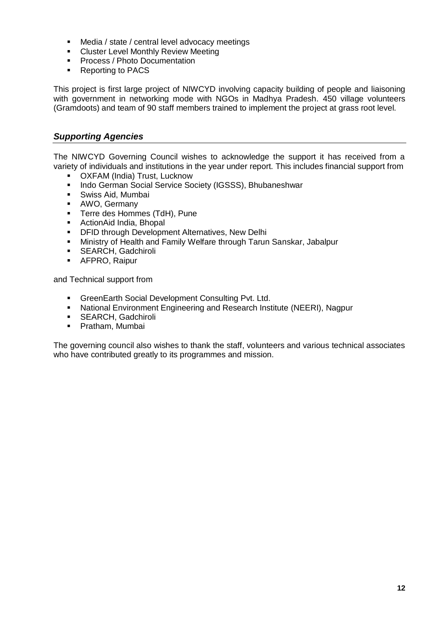- Media / state / central level advocacy meetings
- **EXEC** Cluster Level Monthly Review Meeting
- **Process / Photo Documentation**<br>**Reporting to PACS**
- Reporting to PACS

This project is first large project of NIWCYD involving capacity building of people and liaisoning with government in networking mode with NGOs in Madhya Pradesh. 450 village volunteers (Gramdoots) and team of 90 staff members trained to implement the project at grass root level.

# *Supporting Agencies*

The NIWCYD Governing Council wishes to acknowledge the support it has received from a variety of individuals and institutions in the year under report. This includes financial support from

- OXFAM (India) Trust, Lucknow
- **Indo German Social Service Society (IGSSS), Bhubaneshwar**
- Swiss Aid, Mumbai
- AWO, Germany
- **Terre des Hommes (TdH), Pune**
- ActionAid India, Bhopal
- **DFID through Development Alternatives, New Delhi**
- Ministry of Health and Family Welfare through Tarun Sanskar, Jabalpur
- **SEARCH, Gadchiroli**
- **-** AFPRO, Raipur

and Technical support from

- **GreenEarth Social Development Consulting Pvt. Ltd.**
- National Environment Engineering and Research Institute (NEERI), Nagpur
- **SEARCH, Gadchiroli**
- **•** Pratham, Mumbai

The governing council also wishes to thank the staff, volunteers and various technical associates who have contributed greatly to its programmes and mission.